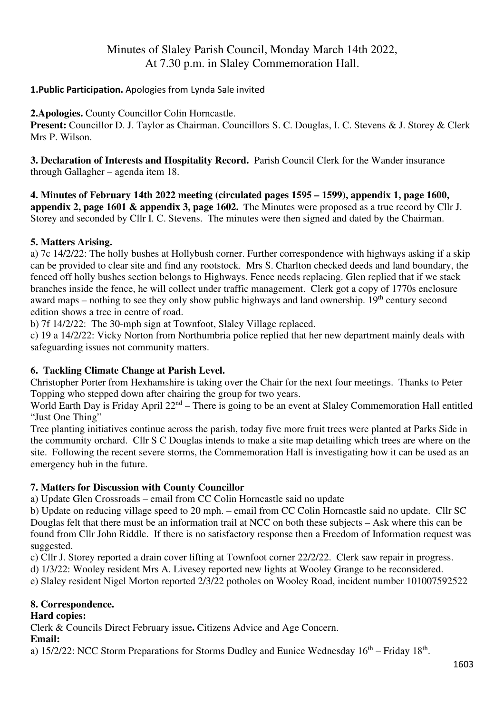# Minutes of Slaley Parish Council, Monday March 14th 2022, At 7.30 p.m. in Slaley Commemoration Hall.

### **1.Public Participation.** Apologies from Lynda Sale invited

**2.Apologies.** County Councillor Colin Horncastle.

**Present:** Councillor D. J. Taylor as Chairman. Councillors S. C. Douglas, I. C. Stevens & J. Storey & Clerk Mrs P. Wilson.

**3. Declaration of Interests and Hospitality Record.** Parish Council Clerk for the Wander insurance through Gallagher – agenda item 18.

**4. Minutes of February 14th 2022 meeting (circulated pages 1595 – 1599), appendix 1, page 1600, appendix 2, page 1601 & appendix 3, page 1602. T**he Minutes were proposed as a true record by Cllr J. Storey and seconded by Cllr I. C. Stevens. The minutes were then signed and dated by the Chairman.

#### **5. Matters Arising.**

a) 7c 14/2/22: The holly bushes at Hollybush corner. Further correspondence with highways asking if a skip can be provided to clear site and find any rootstock. Mrs S. Charlton checked deeds and land boundary, the fenced off holly bushes section belongs to Highways. Fence needs replacing. Glen replied that if we stack branches inside the fence, he will collect under traffic management. Clerk got a copy of 1770s enclosure award maps – nothing to see they only show public highways and land ownership.  $19<sup>th</sup>$  century second edition shows a tree in centre of road.

b) 7f 14/2/22:The 30-mph sign at Townfoot, Slaley Village replaced.

c) 19 a 14/2/22: Vicky Norton from Northumbria police replied that her new department mainly deals with safeguarding issues not community matters.

### **6. Tackling Climate Change at Parish Level.**

Christopher Porter from Hexhamshire is taking over the Chair for the next four meetings. Thanks to Peter Topping who stepped down after chairing the group for two years.

World Earth Day is Friday April  $22^{nd}$  – There is going to be an event at Slaley Commemoration Hall entitled "Just One Thing"

Tree planting initiatives continue across the parish, today five more fruit trees were planted at Parks Side in the community orchard. Cllr S C Douglas intends to make a site map detailing which trees are where on the site. Following the recent severe storms, the Commemoration Hall is investigating how it can be used as an emergency hub in the future.

### **7. Matters for Discussion with County Councillor**

a) Update Glen Crossroads – email from CC Colin Horncastle said no update

b) Update on reducing village speed to 20 mph. – email from CC Colin Horncastle said no update. Cllr SC Douglas felt that there must be an information trail at NCC on both these subjects – Ask where this can be found from Cllr John Riddle. If there is no satisfactory response then a Freedom of Information request was suggested.

c) Cllr J. Storey reported a drain cover lifting at Townfoot corner 22/2/22. Clerk saw repair in progress.

d) 1/3/22: Wooley resident Mrs A. Livesey reported new lights at Wooley Grange to be reconsidered.

e) Slaley resident Nigel Morton reported 2/3/22 potholes on Wooley Road, incident number 101007592522

### **8. Correspondence.**

### **Hard copies:**

Clerk & Councils Direct February issue**.** Citizens Advice and Age Concern.

### **Email:**

a)  $15/2/22$ : NCC Storm Preparations for Storms Dudley and Eunice Wednesday  $16<sup>th</sup>$  – Friday  $18<sup>th</sup>$ .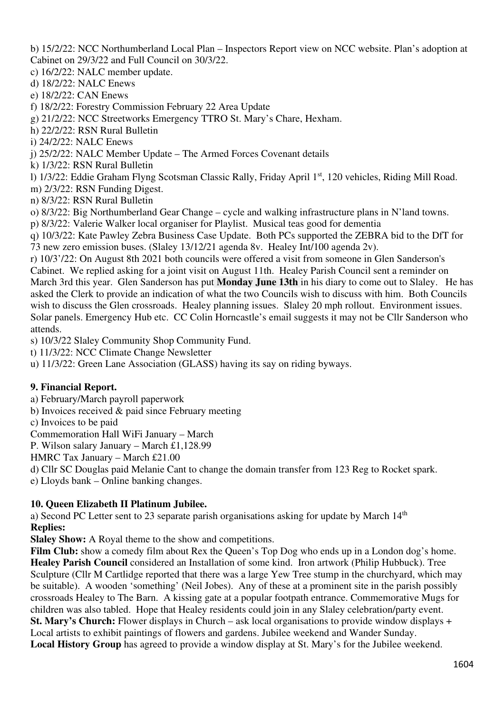b) 15/2/22: NCC Northumberland Local Plan – Inspectors Report view on NCC website. Plan's adoption at Cabinet on 29/3/22 and Full Council on 30/3/22.

c) 16/2/22: NALC member update.

- d) 18/2/22: NALC Enews
- e) 18/2/22: CAN Enews
- f) 18/2/22: Forestry Commission February 22 Area Update
- g) 21/2/22: NCC Streetworks Emergency TTRO St. Mary's Chare, Hexham.
- h) 22/2/22: RSN Rural Bulletin
- i) 24/2/22: NALC Enews
- j) 25/2/22: NALC Member Update The Armed Forces Covenant details
- k) 1/3/22: RSN Rural Bulletin
- l) 1/3/22: Eddie Graham Flyng Scotsman Classic Rally, Friday April 1st, 120 vehicles, Riding Mill Road.
- m) 2/3/22: RSN Funding Digest.
- n) 8/3/22: RSN Rural Bulletin
- o) 8/3/22: Big Northumberland Gear Change cycle and walking infrastructure plans in N'land towns.
- p) 8/3/22: Valerie Walker local organiser for Playlist. Musical teas good for dementia
- q) 10/3/22: Kate Pawley Zebra Business Case Update. Both PCs supported the ZEBRA bid to the DfT for 73 new zero emission buses. (Slaley 13/12/21 agenda 8v. Healey Int/100 agenda 2v).
- r) 10/3'/22: On August 8th 2021 both councils were offered a visit from someone in Glen Sanderson's Cabinet. We replied asking for a joint visit on August 11th. Healey Parish Council sent a reminder on March 3rd this year. Glen Sanderson has put **Monday June 13th** in his diary to come out to Slaley. He has asked the Clerk to provide an indication of what the two Councils wish to discuss with him. Both Councils wish to discuss the Glen crossroads. Healey planning issues. Slaley 20 mph rollout. Environment issues. Solar panels. Emergency Hub etc. CC Colin Horncastle's email suggests it may not be Cllr Sanderson who attends.
- s) 10/3/22 Slaley Community Shop Community Fund.
- t) 11/3/22: NCC Climate Change Newsletter
- u) 11/3/22: Green Lane Association (GLASS) having its say on riding byways.

### **9. Financial Report.**

- a) February/March payroll paperwork
- b) Invoices received & paid since February meeting
- c) Invoices to be paid
- Commemoration Hall WiFi January March
- P. Wilson salary January March £1,128.99
- HMRC Tax January March £21.00
- d) Cllr SC Douglas paid Melanie Cant to change the domain transfer from 123 Reg to Rocket spark.
- e) Lloyds bank Online banking changes.

### **10. Queen Elizabeth II Platinum Jubilee.**

a) Second PC Letter sent to 23 separate parish organisations asking for update by March  $14<sup>th</sup>$ **Replies:** 

**Slaley Show:** A Royal theme to the show and competitions.

Film Club: show a comedy film about Rex the Queen's Top Dog who ends up in a London dog's home. **Healey Parish Council** considered an Installation of some kind. Iron artwork (Philip Hubbuck). Tree Sculpture (Cllr M Cartlidge reported that there was a large Yew Tree stump in the churchyard, which may be suitable). A wooden 'something' (Neil Jobes). Any of these at a prominent site in the parish possibly crossroads Healey to The Barn. A kissing gate at a popular footpath entrance. Commemorative Mugs for children was also tabled. Hope that Healey residents could join in any Slaley celebration/party event. **St. Mary's Church:** Flower displays in Church – ask local organisations to provide window displays + Local artists to exhibit paintings of flowers and gardens. Jubilee weekend and Wander Sunday. **Local History Group** has agreed to provide a window display at St. Mary's for the Jubilee weekend.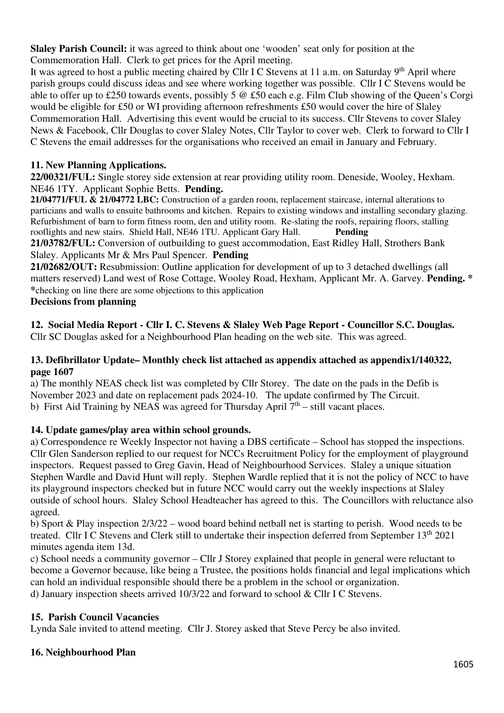**Slaley Parish Council:** it was agreed to think about one 'wooden' seat only for position at the Commemoration Hall. Clerk to get prices for the April meeting.

It was agreed to host a public meeting chaired by Cllr I C Stevens at 11 a.m. on Saturday 9<sup>th</sup> April where parish groups could discuss ideas and see where working together was possible. Cllr I C Stevens would be able to offer up to £250 towards events, possibly 5 @ £50 each e.g. Film Club showing of the Queen's Corgi would be eligible for £50 or WI providing afternoon refreshments £50 would cover the hire of Slaley Commemoration Hall. Advertising this event would be crucial to its success. Cllr Stevens to cover Slaley News & Facebook, Cllr Douglas to cover Slaley Notes, Cllr Taylor to cover web. Clerk to forward to Cllr I C Stevens the email addresses for the organisations who received an email in January and February.

## **11. New Planning Applications.**

**22/00321/FUL:** Single storey side extension at rear providing utility room. Deneside, Wooley, Hexham. NE46 1TY. Applicant Sophie Betts. **Pending.**

**21/04771/FUL & 21/04772 LBC:** Construction of a garden room, replacement staircase, internal alterations to particians and walls to ensuite bathrooms and kitchen. Repairs to existing windows and installing secondary glazing. Refurbishment of barn to form fitness room, den and utility room. Re-slating the roofs, repairing floors, stalling rooflights and new stairs. Shield Hall, NE46 1TU. Applicant Gary Hall. **Pending** 

**21/03782/FUL:** Conversion of outbuilding to guest accommodation, East Ridley Hall, Strothers Bank Slaley. Applicants Mr & Mrs Paul Spencer. **Pending** 

**21/02682/OUT:** Resubmission: Outline application for development of up to 3 detached dwellings (all matters reserved) Land west of Rose Cottage, Wooley Road, Hexham, Applicant Mr. A. Garvey. **Pending. \* \***checking on line there are some objections to this application

## **Decisions from planning**

# **12. Social Media Report - Cllr I. C. Stevens & Slaley Web Page Report - Councillor S.C. Douglas.**

Cllr SC Douglas asked for a Neighbourhood Plan heading on the web site. This was agreed.

### **13. Defibrillator Update– Monthly check list attached as appendix attached as appendix1/140322, page 1607**

a) The monthly NEAS check list was completed by Cllr Storey. The date on the pads in the Defib is November 2023 and date on replacement pads 2024-10. The update confirmed by The Circuit. b) First Aid Training by NEAS was agreed for Thursday April  $7<sup>th</sup>$  – still vacant places.

## **14. Update games/play area within school grounds.**

a) Correspondence re Weekly Inspector not having a DBS certificate – School has stopped the inspections. Cllr Glen Sanderson replied to our request for NCCs Recruitment Policy for the employment of playground inspectors. Request passed to Greg Gavin, Head of Neighbourhood Services. Slaley a unique situation Stephen Wardle and David Hunt will reply. Stephen Wardle replied that it is not the policy of NCC to have its playground inspectors checked but in future NCC would carry out the weekly inspections at Slaley outside of school hours. Slaley School Headteacher has agreed to this. The Councillors with reluctance also agreed.

b) Sport & Play inspection 2/3/22 – wood board behind netball net is starting to perish. Wood needs to be treated. Cllr I C Stevens and Clerk still to undertake their inspection deferred from September 13th 2021 minutes agenda item 13d.

c) School needs a community governor – Cllr J Storey explained that people in general were reluctant to become a Governor because, like being a Trustee, the positions holds financial and legal implications which can hold an individual responsible should there be a problem in the school or organization. d) January inspection sheets arrived 10/3/22 and forward to school & Cllr I C Stevens.

## **15. Parish Council Vacancies**

Lynda Sale invited to attend meeting. Cllr J. Storey asked that Steve Percy be also invited.

## **16. Neighbourhood Plan**